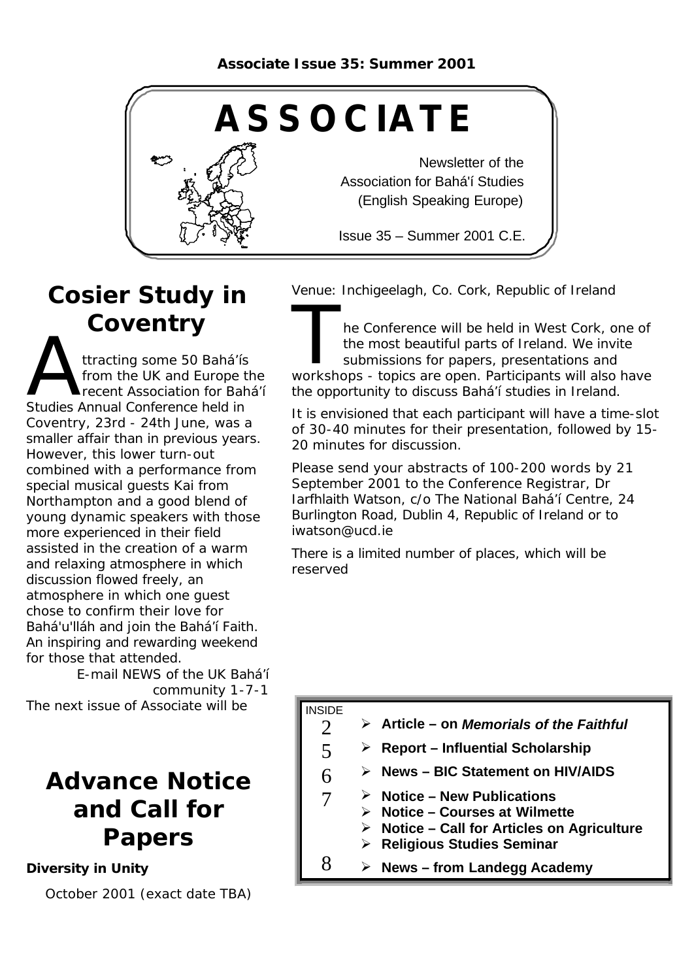

# **Cosier Study in Coventry**

Musical Studies Annual Conference held in ttracting some 50 Bahá'ís from the UK and Europe the recent Association for Bahá'í Coventry, 23rd - 24th June, was a smaller affair than in previous years. However, this lower turn-out combined with a performance from special musical guests Kai from Northampton and a good blend of young dynamic speakers with those more experienced in their field assisted in the creation of a warm and relaxing atmosphere in which discussion flowed freely, an atmosphere in which one guest chose to confirm their love for Bahá'u'lláh and join the Bahá'í Faith. An inspiring and rewarding weekend for those that attended.

E-mail NEWS of the UK Bahá'í community 1-7-1 The next issue of Associate will be

## **Advance Notice and Call for Papers**

#### *Diversity in Unity*

October 2001 (exact date TBA)

Venue: Inchigeelagh, Co. Cork, Republic of Ireland

The Conference will be held in West Cork, one of<br>the most beautiful parts of Ireland. We invite<br>submissions for papers, presentations and<br>workshops - topics are open. Participants will also have he Conference will be held in West Cork, one of the most beautiful parts of Ireland. We invite submissions for papers, presentations and the opportunity to discuss Bahá'í studies in Ireland.

It is envisioned that each participant will have a time-slot of 30-40 minutes for their presentation, followed by 15- 20 minutes for discussion.

Please send your abstracts of 100-200 words by 21 September 2001 to the Conference Registrar, Dr Iarfhlaith Watson, c/o The National Bahá'í Centre, 24 Burlington Road, Dublin 4, Republic of Ireland or to iwatson@ucd.ie

There is a limited number of places, which will be reserved

#### INSIDE

5

6

7

- 2 ÿ **Article – on** *Memorials of the Faithful*
	- ÿ **Report Influential Scholarship**
	- ÿ **News BIC Statement on HIV/AIDS**
	- ÿ **Notice New Publications**
	- ÿ **Notice Courses at Wilmette**
		- ÿ **Notice Call for Articles on Agriculture**
	- ÿ **Religious Studies Seminar**
- $8 \rightarrow$  News from Landegg Academy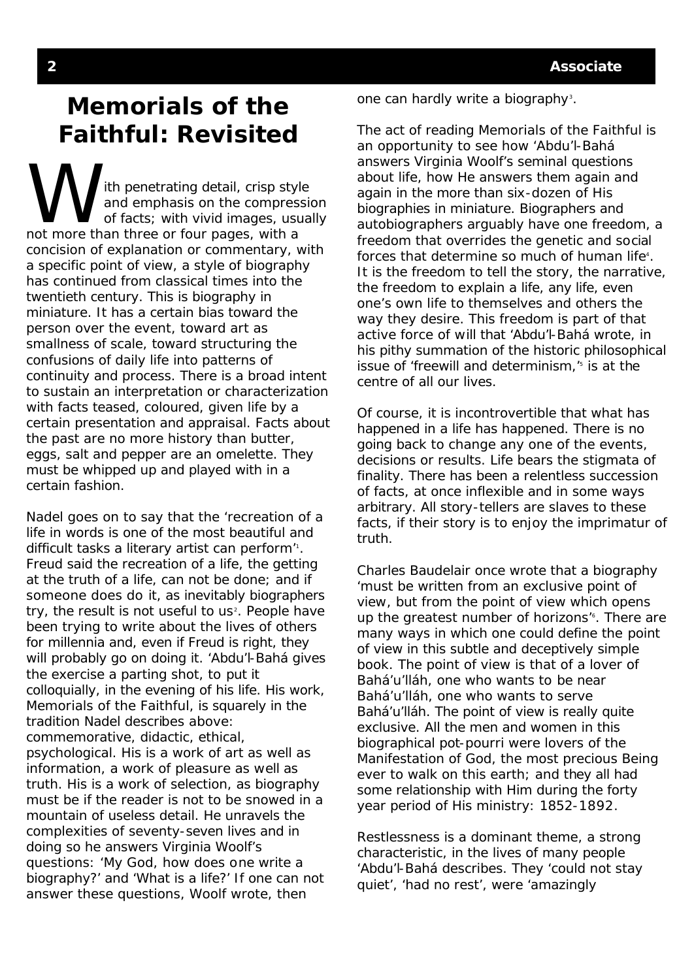### **Memorials of the Faithful: Revisited**

ith penetrating detail, crisp style and emphasis on the compression of facts; with vivid images, usually not more than three or four pages, with a concision of explanation or commentary, with a specific point of view, a style of biography has continued from classical times into the twentieth century. This is biography in miniature. It has a certain bias toward the person over the event, toward art as smallness of scale, toward structuring the confusions of daily life into patterns of continuity and process. There is a broad intent to sustain an interpretation or characterization with facts teased, coloured, given life by a certain presentation and appraisal. Facts about the past are no more history than butter, eggs, salt and pepper are an omelette. They must be whipped up and played with in a certain fashion.

Nadel goes on to say that the 'recreation of a life in words is one of the most beautiful and difficult tasks a literary artist can perform<sup>"</sup>. Freud said the recreation of a life, the getting at the truth of a life, can not be done; and if someone does do it, as inevitably biographers try, the result is not useful to us<sup>2</sup>. People have been trying to write about the lives of others for millennia and, even if Freud is right, they will probably go on doing it. 'Abdu'l-Bahá gives the exercise a parting shot, to put it colloquially, in the evening of his life. His work, *Memorials of the Faithful*, is squarely in the tradition Nadel describes above: commemorative, didactic, ethical, psychological. His is a work of art as well as information, a work of pleasure as well as truth. His is a work of selection, as biography must be if the reader is not to be snowed in a mountain of useless detail. He unravels the complexities of seventy-seven lives and in doing so he answers Virginia Woolf's questions: 'My God, how does one write a biography?' and 'What is a life?' If one can not answer these questions, Woolf wrote, then

one can hardly write a biography<sup>3</sup>.

The act of reading *Memorials of the Faithful* is an opportunity to see how 'Abdu'l-Bahá answers Virginia Woolf's seminal questions about life, how He answers them again and again in the more than six-dozen of His biographies in miniature. Biographers and autobiographers arguably have one freedom, a freedom that overrides the genetic and social forces that determine so much of human life<sup>4</sup>. It is the freedom to tell the story, the narrative, the freedom to explain a life, any life, even one's own life to themselves and others the way they desire. This freedom is part of that active force of will that 'Abdu'l-Bahá wrote, in his pithy summation of the historic philosophical issue of 'freewill and determinism,'<sup>5</sup> is at the centre of all our lives.

Of course, it is incontrovertible that what has happened in a life has happened. There is no going back to change any one of the events, decisions or results. Life bears the stigmata of finality. There has been a relentless succession of facts, at once inflexible and in some ways arbitrary. All story-tellers are slaves to these facts, if their story is to enjoy the imprimatur of truth.

Charles Baudelair once wrote that a biography 'must be written from an exclusive point of view, but from the point of view which opens up the greatest number of horizons<sup>"</sup>. There are many ways in which one could define the point of view in this subtle and deceptively simple book. The point of view is that of a lover of Bahá'u'lláh, one who wants to be near Bahá'u'lláh, one who wants to serve Bahá'u'lláh. The point of view is really quite exclusive. All the men and women in this biographical pot-pourri were lovers of the Manifestation of God, the most precious Being ever to walk on this earth; and they all had some relationship with Him during the forty year period of His ministry: 1852-1892.

Restlessness is a dominant theme, a strong characteristic, in the lives of many people 'Abdu'l-Bahá describes. They 'could not stay quiet', 'had no rest', were 'amazingly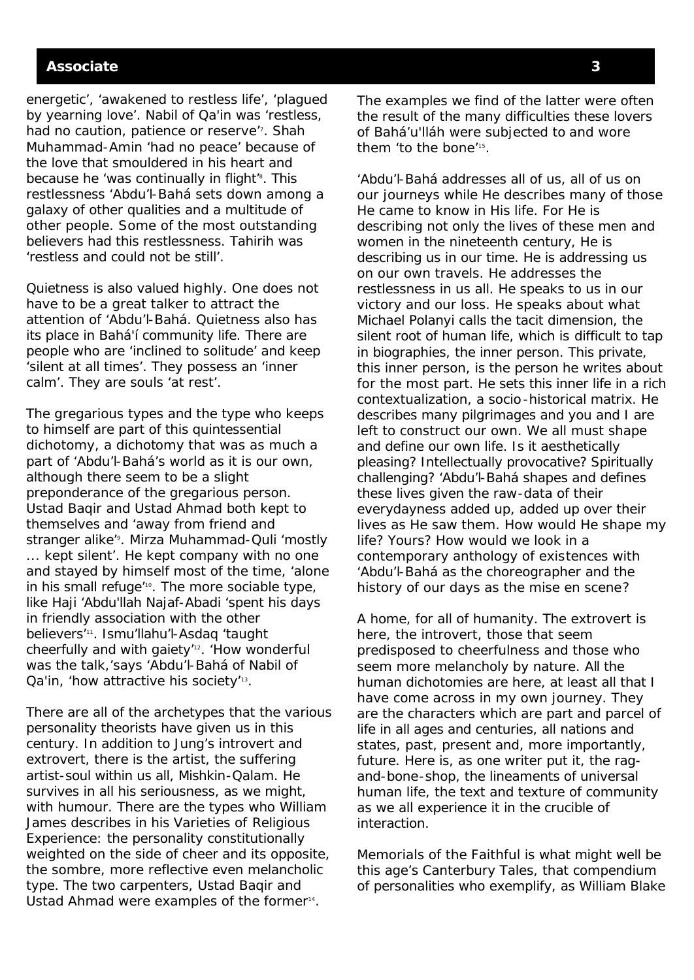#### **Associate 3**

energetic', 'awakened to restless life', 'plagued by yearning love'. Nabil of Qa'in was 'restless, had no caution, patience or reserve". Shah Muhammad-Amin 'had no peace' because of the love that smouldered in his heart and because he 'was continually in flight<sup>'8</sup>. This restlessness 'Abdu'l-Bahá sets down among a galaxy of other qualities and a multitude of other people. Some of the most outstanding believers had this restlessness. Tahirih was 'restless and could not be still'.

Quietness is also valued highly. One does not have to be a great talker to attract the attention of 'Abdu'l-Bahá. Quietness also has its place in Bahá'í community life. There are people who are 'inclined to solitude' and keep 'silent at all times'. They possess an 'inner calm'. They are souls 'at rest'.

The gregarious types and the type who keeps to himself are part of this quintessential dichotomy, a dichotomy that was as much a part of 'Abdu'l-Bahá's world as it is our own, although there seem to be a slight preponderance of the gregarious person. Ustad Baqir and Ustad Ahmad both kept to themselves and 'away from friend and stranger alike<sup>'</sup><sup>9</sup>. Mirza Muhammad-Quli 'mostly ... kept silent'. He kept company with no one and stayed by himself most of the time, 'alone in his small refuge<sup>'10</sup>. The more sociable type, like Haji 'Abdu'llah Najaf-Abadi 'spent his days in friendly association with the other believers'<sup>11</sup> . Ismu'llahu'l-Asdaq 'taught cheerfully and with gaiety'12. 'How wonderful was the talk,'says 'Abdu'l-Bahá of Nabil of Qa'in, 'how attractive his society'<sup>13</sup>.

There are all of the archetypes that the various personality theorists have given us in this century. In addition to Jung's introvert and extrovert, there is the artist, the suffering artist-soul within us all, Mishkin-Qalam. He survives in all his seriousness, as we might, with humour. There are the types who William James describes in his *Varieties of Religious Experience*: the personality constitutionally weighted on the side of cheer and its opposite, the sombre, more reflective even melancholic type. The two carpenters, Ustad Baqir and Ustad Ahmad were examples of the former<sup>14</sup>.

The examples we find of the latter were often the result of the many difficulties these lovers of Bahá'u'lláh were subjected to and wore them 'to the bone'<sup>15</sup> .

'Abdu'l-Bahá addresses all of us, all of us on our journeys while He describes many of those He came to know in His life. For He is describing not only the lives of these men and women in the nineteenth century, He is describing us in our time. He is addressing us on our own travels. He addresses the restlessness in us all. He speaks to us in our victory and our loss. He speaks about what Michael Polanyi calls the tacit dimension, the silent root of human life, which is difficult to tap in biographies, the inner person. This private, this inner person, is the person he writes about for the most part. He sets this inner life in a rich contextualization, a socio-historical matrix. He describes many pilgrimages and you and I are left to construct our own. We all must shape and define our own life. Is it aesthetically pleasing? Intellectually provocative? Spiritually challenging? 'Abdu'l-Bahá shapes and defines these lives given the raw-data of their everydayness added up, added up over their lives as He saw them. How would He shape my life? Yours? How would we look in a contemporary anthology of existences with 'Abdu'l-Bahá as the choreographer and the history of our days as the *mise en scene*?

A home, for all of humanity. The extrovert is here, the introvert, those that seem predisposed to cheerfulness and those who seem more melancholy by nature. All the human dichotomies are here, at least all that I have come across in my own journey. They are the characters which are part and parcel of life in all ages and centuries, all nations and states, past, present and, more importantly, future. Here is, as one writer put it, the ragand-bone-shop, the lineaments of universal human life, the text and texture of community as we all experience it in the crucible of interaction.

*Memorials of the Faithful* is what might well be this age's *Canterbury Tales*, that compendium of personalities who exemplify, as William Blake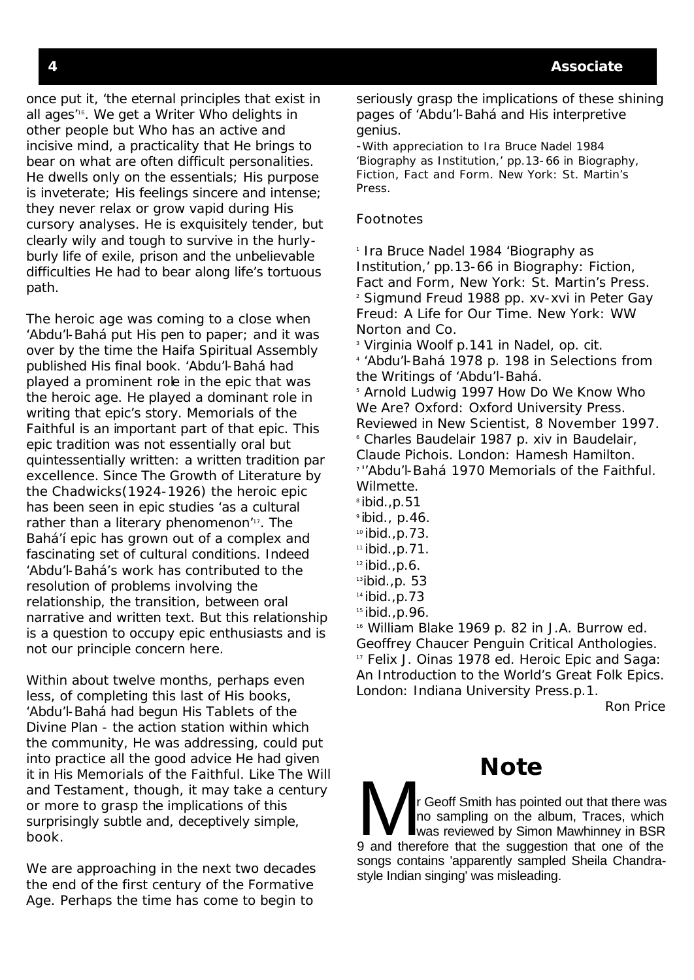once put it, 'the eternal principles that exist in all ages'16. We get a Writer Who delights in other people but Who has an active and incisive mind, a practicality that He brings to bear on what are often difficult personalities. He dwells only on the essentials; His purpose is inveterate; His feelings sincere and intense; they never relax or grow vapid during His cursory analyses. He is exquisitely tender, but clearly wily and tough to survive in the hurlyburly life of exile, prison and the unbelievable difficulties He had to bear along life's tortuous path.

The heroic age was coming to a close when 'Abdu'l-Bahá put His pen to paper; and it was over by the time the Haifa Spiritual Assembly published His final book. 'Abdu'l-Bahá had played a prominent role in the epic that was the heroic age. He played a dominant role in writing that epic's story. *Memorials of the Faithful* is an important part of that epic. This epic tradition was not essentially oral but quintessentially written: a written tradition *par excellence.* Since *The Growth of Literature* by the Chadwicks(1924-1926) the heroic epic has been seen in epic studies 'as a cultural rather than a literary phenomenon"<sup>17</sup>. The Bahá'í epic has grown out of a complex and fascinating set of cultural conditions. Indeed 'Abdu'l-Bahá's work has contributed to the resolution of problems involving the relationship, the transition, between oral narrative and written text. But this relationship is a question to occupy epic enthusiasts and is not our principle concern here.

Within about twelve months, perhaps even less, of completing this last of His books, 'Abdu'l-Bahá had begun His *Tablets of the Divine Plan -* the action station within which the community, He was addressing, could put into practice all the good advice He had given it in His *Memorials of the Faithful*. Like *The Will and Testament*, though, it may take a century or more to grasp the implications of this surprisingly subtle and, deceptively simple, book.

We are approaching in the next two decades the end of the first century of the Formative Age. Perhaps the time has come to begin to

seriously grasp the implications of these shining pages of 'Abdu'l-Bahá and His interpretive genius.

-With appreciation to Ira Bruce Nadel 1984 'Biography as Institution,' pp.13-66 in *Biography, Fiction, Fact and Form.* New York: St. Martin's Press.

#### Footnotes

<sup>1</sup> Ira Bruce Nadel 1984 'Biography as Institution,' pp.13-66 in *Biography: Fiction, Fact and Form*, New York: St. Martin's Press. 2 Sigmund Freud 1988 pp. xv-xvi in Peter Gay *Freud: A Life for Our Time*. New York: WW Norton and Co.

3 Virginia Woolf p.141 in Nadel, op. cit. 4 'Abdu'l-Bahá 1978 p. 198 in *Selections from the Writings of 'Abdu'l-Bahá*.

5 Arnold Ludwig 1997 *How Do We Know Who We Are?* Oxford: Oxford University Press. Reviewed in *New Scientist*, 8 November 1997. 6 Charles Baudelair 1987 p. xiv in *Baudelair, Claude Pichois*. London: Hamesh Hamilton. <sup>7</sup>''Abdu'l-Bahá 1970 *Memorials of the Faithful.* Wilmette.

- $\textdegree$ ibid., p.51
- $\degree$ ibid., p.46.
- $10$ ibid., p.73.
- $11$  ibid., p. 71.
- $12$  ibid., p.6.
- $13$ ibid., p. 53
- $14$  ibid., p. 73
- $15$ ibid., p. 96.

<sup>16</sup> William Blake 1969 p. 82 in J.A. Burrow ed. *Geoffrey Chaucer Penguin Critical Anthologies*. <sup>17</sup> Felix J. Oinas 1978 ed. *Heroic Epic and Saga: An Introduction to the World's Great Folk Epics*. London: Indiana University Press.p.1.

Ron Price

### **Note**

record Smith has pointed out that there was<br>no sampling on the album, Traces, which<br>and therefore that the suggestion that one of the no sampling on the album, Traces, which was reviewed by Simon Mawhinney in BSR 9 and therefore that the suggestion that one of the songs contains 'apparently sampled Sheila Chandrastyle Indian singing' was misleading.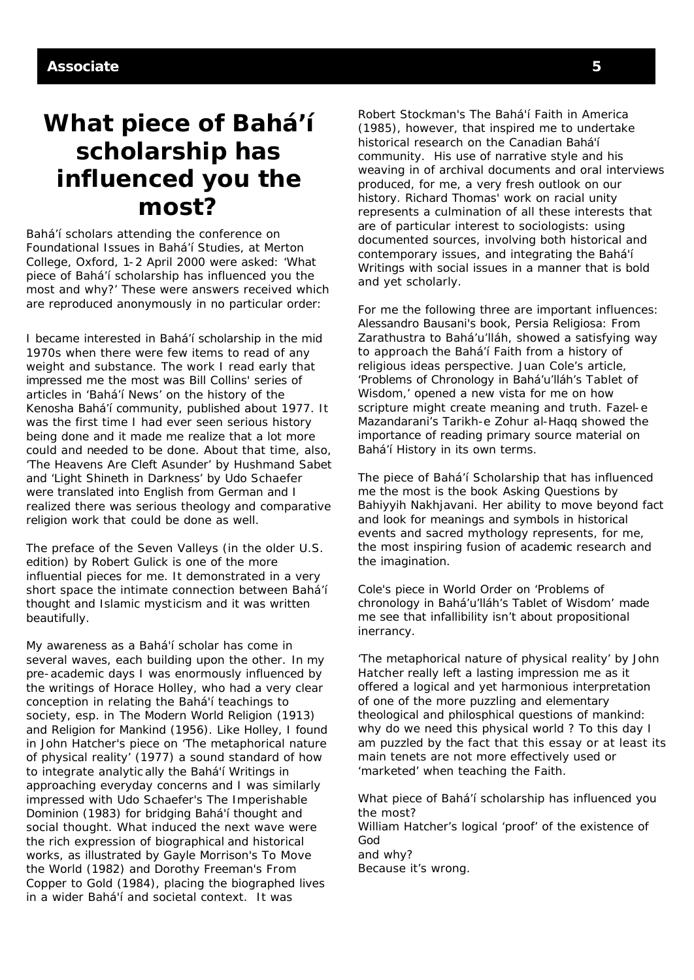## **What piece of Bahá'í scholarship has influenced you the most?**

Bahá'í scholars attending the conference on Foundational Issues in Bahá'í Studies, at Merton College, Oxford, 1-2 April 2000 were asked: 'What piece of Bahá'í scholarship has influenced you the most and why?' These were answers received which are reproduced anonymously in no particular order:

I became interested in Bahá'í scholarship in the mid 1970s when there were few items to read of any weight and substance. The work I read early that impressed me the most was Bill Collins' series of articles in 'Bahá'í News' on the history of the Kenosha Bahá'í community, published about 1977. It was the first time I had ever seen serious history being done and it made me realize that a lot more could and needed to be done. About that time, also, 'The Heavens Are Cleft Asunder' by Hushmand Sabet and 'Light Shineth in Darkness' by Udo Schaefer were translated into English from German and I realized there was serious theology and comparative religion work that could be done as well.

The preface of the Seven Valleys (in the older U.S. edition) by Robert Gulick is one of the more influential pieces for me. It demonstrated in a very short space the intimate connection between Bahá'í thought and Islamic mysticism and it was written beautifully.

My awareness as a Bahá'í scholar has come in several waves, each building upon the other. In my pre-academic days I was enormously influenced by the writings of Horace Holley, who had a very clear conception in relating the Bahá'í teachings to society, esp. in *The Modern World Religion* (1913) and *Religion for Mankind* (1956). Like Holley, I found in John Hatcher's piece on 'The metaphorical nature of physical reality' (1977) a sound standard of how to integrate analytic ally the Bahá'í Writings in approaching everyday concerns and I was similarly impressed with Udo Schaefer's *The Imperishable Dominion* (1983) for bridging Bahá'í thought and social thought. What induced the next wave were the rich expression of biographical and historical works, as illustrated by Gayle Morrison's *To Move the World* (1982) and Dorothy Freeman's *From Copper to Gold* (1984), placing the biographed lives in a wider Bahá'í and societal context. It was

Robert Stockman's *The Bahá'í Faith in America* (1985), however, that inspired me to undertake historical research on the Canadian Bahá'í community. His use of narrative style and his weaving in of archival documents and oral interviews produced, for me, a very fresh outlook on our history. Richard Thomas' work on racial unity represents a culmination of all these interests that are of particular interest to sociologists: using documented sources, involving both historical and contemporary issues, and integrating the Bahá'í Writings with social issues in a manner that is bold and yet scholarly.

For me the following three are important influences: Alessandro Bausani's book, Persia Religiosa: From Zarathustra to Bahá'u'lláh, showed a satisfying way to approach the Bahá'í Faith from a history of religious ideas perspective. Juan Cole's article, 'Problems of Chronology in Bahá'u'lláh's Tablet of Wisdom,' opened a new vista for me on how scripture might create meaning and truth. Fazel-e Mazandarani's *Tarikh-e Zohur al-Haqq* showed the importance of reading primary source material on Bahá'í History in its own terms.

The piece of Bahá'í Scholarship that has influenced me the most is the book *Asking Questions* by Bahiyyih Nakhjavani. Her ability to move beyond fact and look for meanings and symbols in historical events and sacred mythology represents, for me, the most inspiring fusion of academic research and the imagination.

Cole's piece in World Order on 'Problems of chronology in Bahá'u'lláh's Tablet of Wisdom' made me see that infallibility isn't about propositional inerrancy.

'The metaphorical nature of physical reality' by John Hatcher really left a lasting impression me as it offered a logical and yet harmonious interpretation of one of the more puzzling and elementary theological and philosphical questions of mankind: why do we need this physical world ? To this day I am puzzled by the fact that this essay or at least its main tenets are not more effectively used or 'marketed' when teaching the Faith.

What piece of Bahá'í scholarship has influenced you the most? William Hatcher's logical 'proof' of the existence of God and why? Because it's wrong.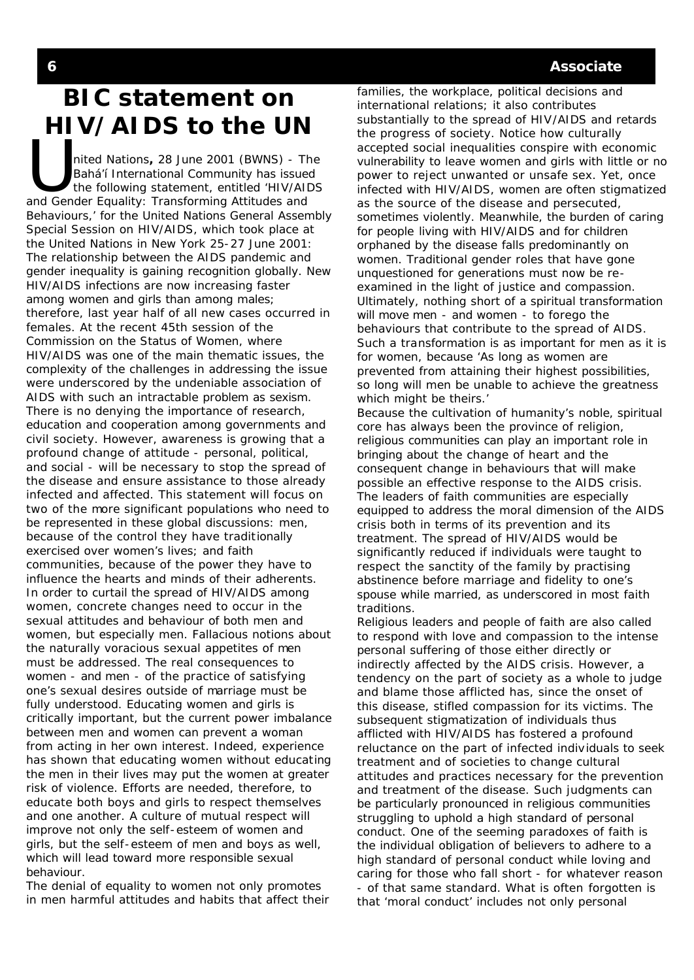# **BIC statement on HIV/AIDS to the UN**

THE PUBLIC CONTROLLED<br>
Inited Nations, 28 June 2001 (BWNS) - The<br>
Bahá'í International Community has issued<br>
the following statement, entitled 'HIV/AID<br>
and Gender Equality: Transforming Attitudes and nited Nations**,** 28 June 2001 (BWNS) - The Bahá'í International Community has issued the following statement, entitled 'HIV/AIDS Behaviours,' for the United Nations General Assembly Special Session on HIV/AIDS, which took place at the United Nations in New York 25-27 June 2001: The relationship between the AIDS pandemic and gender inequality is gaining recognition globally. New HIV/AIDS infections are now increasing faster among women and girls than among males; therefore, last year half of all new cases occurred in females. At the recent 45th session of the Commission on the Status of Women, where HIV/AIDS was one of the main thematic issues, the complexity of the challenges in addressing the issue were underscored by the undeniable association of AIDS with such an intractable problem as sexism. There is no denying the importance of research, education and cooperation among governments and civil society. However, awareness is growing that a profound change of attitude - personal, political, and social - will be necessary to stop the spread of the disease and ensure assistance to those already infected and affected. This statement will focus on two of the more significant populations who need to be represented in these global discussions: men, because of the control they have traditionally exercised over women's lives; and faith communities, because of the power they have to influence the hearts and minds of their adherents. In order to curtail the spread of HIV/AIDS among women, concrete changes need to occur in the sexual attitudes and behaviour of both men and women, but especially men. Fallacious notions about the naturally voracious sexual appetites of men must be addressed. The real consequences to women - and men - of the practice of satisfying one's sexual desires outside of marriage must be fully understood. Educating women and girls is critically important, but the current power imbalance between men and women can prevent a woman from acting in her own interest. Indeed, experience has shown that educating women without educating the men in their lives may put the women at greater risk of violence. Efforts are needed, therefore, to educate both boys and girls to respect themselves and one another. A culture of mutual respect will improve not only the self-esteem of women and girls, but the self-esteem of men and boys as well, which will lead toward more responsible sexual behaviour.

The denial of equality to women not only promotes in men harmful attitudes and habits that affect their families, the workplace, political decisions and international relations; it also contributes substantially to the spread of HIV/AIDS and retards the progress of society. Notice how culturally accepted social inequalities conspire with economic vulnerability to leave women and girls with little or no power to reject unwanted or unsafe sex. Yet, once infected with HIV/AIDS, women are often stigmatized as the source of the disease and persecuted, sometimes violently. Meanwhile, the burden of caring for people living with HIV/AIDS and for children orphaned by the disease falls predominantly on women. Traditional gender roles that have gone unquestioned for generations must now be reexamined in the light of justice and compassion. Ultimately, nothing short of a spiritual transformation will move men - and women - to forego the behaviours that contribute to the spread of AIDS. Such a transformation is as important for men as it is for women, because 'As long as women are prevented from attaining their highest possibilities, so long will men be unable to achieve the greatness which might be theirs.'

Because the cultivation of humanity's noble, spiritual core has always been the province of religion, religious communities can play an important role in bringing about the change of heart and the consequent change in behaviours that will make possible an effective response to the AIDS crisis. The leaders of faith communities are especially equipped to address the moral dimension of the AIDS crisis both in terms of its prevention and its treatment. The spread of HIV/AIDS would be significantly reduced if individuals were taught to respect the sanctity of the family by practising abstinence before marriage and fidelity to one's spouse while married, as underscored in most faith traditions.

Religious leaders and people of faith are also called to respond with love and compassion to the intense personal suffering of those either directly or indirectly affected by the AIDS crisis. However, a tendency on the part of society as a whole to judge and blame those afflicted has, since the onset of this disease, stifled compassion for its victims. The subsequent stigmatization of individuals thus afflicted with HIV/AIDS has fostered a profound reluctance on the part of infected individuals to seek treatment and of societies to change cultural attitudes and practices necessary for the prevention and treatment of the disease. Such judgments can be particularly pronounced in religious communities struggling to uphold a high standard of personal conduct. One of the seeming paradoxes of faith is the individual obligation of believers to adhere to a high standard of personal conduct while loving and caring for those who fall short - for whatever reason - of that same standard. What is often forgotten is that 'moral conduct' includes not only personal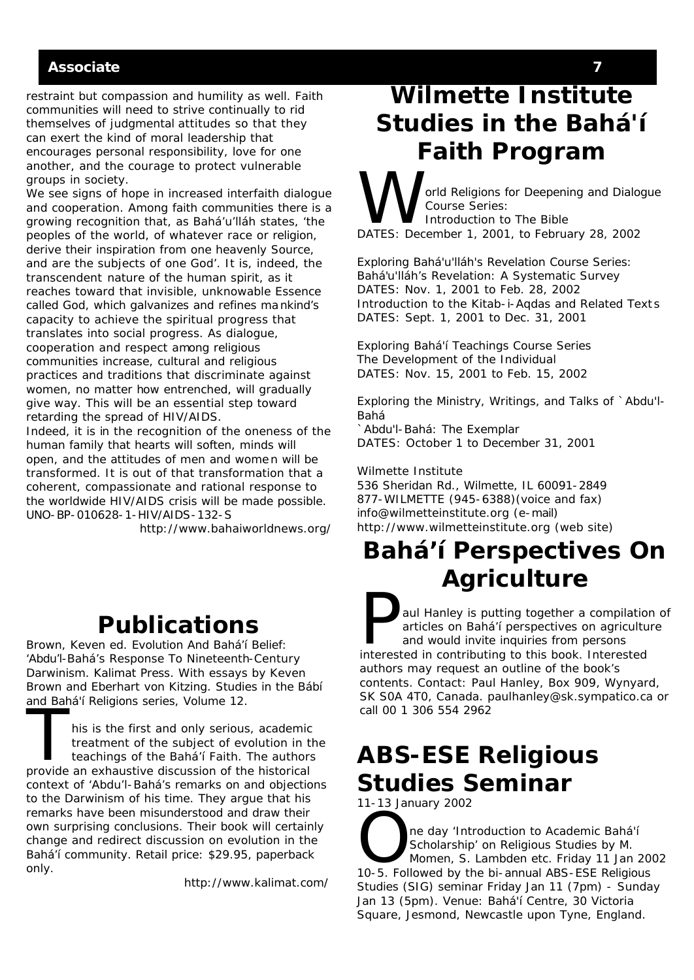#### **Associate 7**

restraint but compassion and humility as well. Faith communities will need to strive continually to rid themselves of judgmental attitudes so that they can exert the kind of moral leadership that encourages personal responsibility, love for one another, and the courage to protect vulnerable groups in society.

We see signs of hope in increased interfaith dialogue and cooperation. Among faith communities there is a growing recognition that, as Bahá'u'lláh states, 'the peoples of the world, of whatever race or religion, derive their inspiration from one heavenly Source, and are the subjects of one God'. It is, indeed, the transcendent nature of the human spirit, as it reaches toward that invisible, unknowable Essence called God, which galvanizes and refines mankind's capacity to achieve the spiritual progress that translates into social progress. As dialogue, cooperation and respect among religious communities increase, cultural and religious practices and traditions that discriminate against women, no matter how entrenched, will gradually give way. This will be an essential step toward retarding the spread of HIV/AIDS.

Indeed, it is in the recognition of the oneness of the human family that hearts will soften, minds will open, and the attitudes of men and women will be transformed. It is out of that transformation that a coherent, compassionate and rational response to the worldwide HIV/AIDS crisis will be made possible. UNO-BP-010628-1-HIV/AIDS-132-S

http://www.bahaiworldnews.org/

### **Publications**

Brown, Keven ed. *Evolution And Bahá'í Belief: 'Abdu'l-Bahá's Response To Nineteenth-Century Darwinism*. Kalimat Press. With essays by Keven Brown and Eberhart von Kitzing. *Studies in the Bábí and Bahá'í Religions* series, Volume 12.

The bana Phengions series, Volume 12.<br>
This is the first and only serious, academic<br>
treatment of the subject of evolution in the teachings of the Bahá'í Faith. The authors<br>
provide an exhaustive discussion of the historic his is the first and only serious, academic treatment of the subject of evolution in the teachings of the Bahá'í Faith. The authors context of 'Abdu'l-Bahá's remarks on and objections to the Darwinism of his time. They argue that his remarks have been misunderstood and draw their own surprising conclusions. Their book will certainly change and redirect discussion on evolution in the Bahá'í community. Retail price: \$29.95, paperback only.

http://www.kalimat.com/

## **Wilmette Institute Studies in the Bahá'í Faith Program**

orld Religions for Deepening and Dialogue Course Series: Introduction to The Bible DATES: December 1, 2001, to February 28, 2002

Exploring Bahá'u'lláh's Revelation Course Series: Bahá'u'lláh's Revelation: A Systematic Survey DATES: Nov. 1, 2001 to Feb. 28, 2002 Introduction to the Kitab-i-Aqdas and Related Text s DATES: Sept. 1, 2001 to Dec. 31, 2001

Exploring Bahá'í Teachings Course Series The Development of the Individual DATES: Nov. 15, 2001 to Feb. 15, 2002

Exploring the Ministry, Writings, and Talks of `Abdu'l-Bahá

`Abdu'l-Bahá: The Exemplar DATES: October 1 to December 31, 2001

Wilmette Institute 536 Sheridan Rd., Wilmette, IL 60091-2849 877-WILMETTE (945-6388)(voice and fax) info@wilmetteinstitute.org (e-mail) http://www.wilmetteinstitute.org (web site)

# **Bahá'í Perspectives On Agriculture**

aul Hanley is putting together a compilation<br>articles on Bahá'í perspectives on agriculture and would invite inquiries from persons<br>interested in contributing to this book. Interested aul Hanley is putting together a compilation of articles on Bahá'í perspectives on agriculture and would invite inquiries from persons authors may request an outline of the book's contents. Contact: Paul Hanley, Box 909, Wynyard, SK S0A 4T0, Canada. paulhanley@sk.sympatico.ca or call 00 1 306 554 2962

# **ABS-ESE Religious Studies Seminar**

11-13 January 2002

The day 'Introduction to Academic Bahá'í<br>Scholarship' on Religious Studies by M.<br>Momen, S. Lambden etc. Friday 11 Jan 2<br>10-5. Followed by the bi-annual ABS-ESE Beligious Scholarship' on Religious Studies by M. Momen, S. Lambden etc. Friday 11 Jan 2002 10-5. Followed by the bi-annual ABS-ESE Religious Studies (SIG) seminar Friday Jan 11 (7pm) - Sunday Jan 13 (5pm). Venue: Bahá'í Centre, 30 Victoria Square, Jesmond, Newcastle upon Tyne, England.